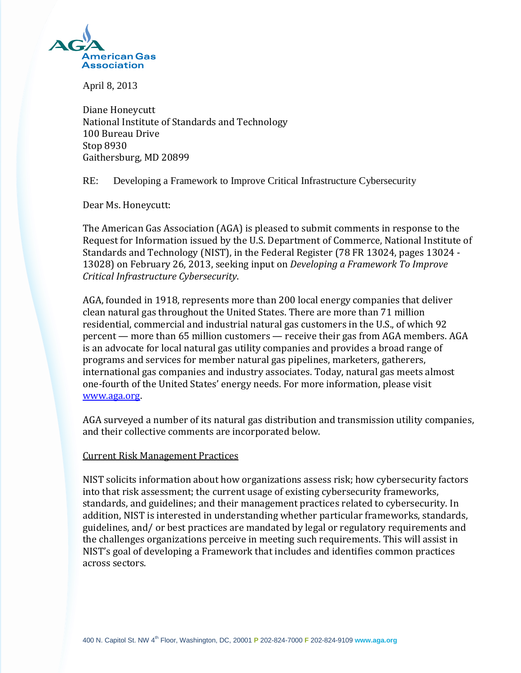

April 8, 2013

Diane Honeycutt National Institute of Standards and Technology 100 Bureau Drive Stop 8930 Gaithersburg, MD 20899

RE: Developing a Framework to Improve Critical Infrastructure Cybersecurity

Dear Ms. Honeycutt:

The American Gas Association (AGA) is pleased to submit comments in response to the Request for Information issued by the U.S. Department of Commerce, National Institute of Standards and Technology (NIST), in the Federal Register (78 FR 13024, pages 13024 - 13028) on February 26, 2013, seeking input on *Developing a Framework To Improve Critical Infrastructure Cybersecurity*.

AGA, founded in 1918, represents more than 200 local energy companies that deliver clean natural gas throughout the United States. There are more than 71 million residential, commercial and industrial natural gas customers in the U.S., of which 92 percent — more than 65 million customers — receive their gas from AGA members. AGA is an advocate for local natural gas utility companies and provides a broad range of programs and services for member natural gas pipelines, marketers, gatherers, international gas companies and industry associates. Today, natural gas meets almost one-fourth of the United States' energy needs. For more information, please visit [www.aga.org.](http://www.aga.org/)

AGA surveyed a number of its natural gas distribution and transmission utility companies, and their collective comments are incorporated below.

## Current Risk Management Practices

NIST solicits information about how organizations assess risk; how cybersecurity factors into that risk assessment; the current usage of existing cybersecurity frameworks, standards, and guidelines; and their management practices related to cybersecurity. In addition, NIST is interested in understanding whether particular frameworks, standards, guidelines, and/ or best practices are mandated by legal or regulatory requirements and the challenges organizations perceive in meeting such requirements. This will assist in NIST's goal of developing a Framework that includes and identifies common practices across sectors.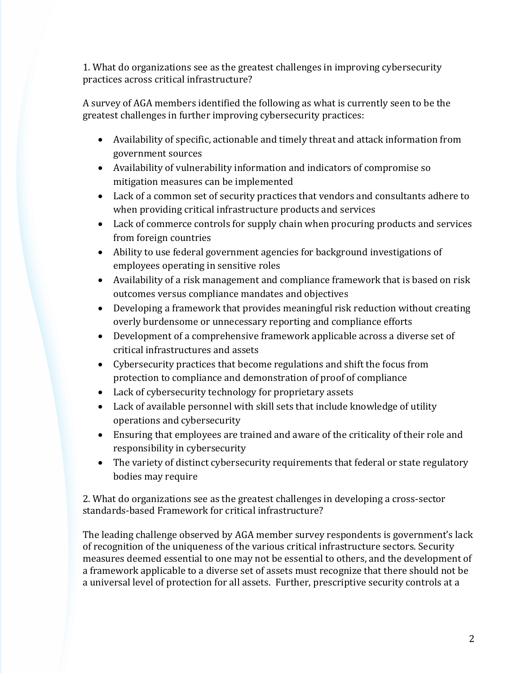1. What do organizations see as the greatest challenges in improving cybersecurity practices across critical infrastructure?

A survey of AGA members identified the following as what is currently seen to be the greatest challenges in further improving cybersecurity practices:

- Availability of specific, actionable and timely threat and attack information from government sources
- Availability of vulnerability information and indicators of compromise so mitigation measures can be implemented
- Lack of a common set of security practices that vendors and consultants adhere to when providing critical infrastructure products and services
- Lack of commerce controls for supply chain when procuring products and services from foreign countries
- Ability to use federal government agencies for background investigations of employees operating in sensitive roles
- Availability of a risk management and compliance framework that is based on risk outcomes versus compliance mandates and objectives
- Developing a framework that provides meaningful risk reduction without creating overly burdensome or unnecessary reporting and compliance efforts
- Development of a comprehensive framework applicable across a diverse set of critical infrastructures and assets
- Cybersecurity practices that become regulations and shift the focus from protection to compliance and demonstration of proof of compliance
- Lack of cybersecurity technology for proprietary assets
- Lack of available personnel with skill sets that include knowledge of utility operations and cybersecurity
- Ensuring that employees are trained and aware of the criticality of their role and responsibility in cybersecurity
- The variety of distinct cybersecurity requirements that federal or state regulatory bodies may require

2. What do organizations see as the greatest challenges in developing a cross-sector standards-based Framework for critical infrastructure?

The leading challenge observed by AGA member survey respondents is government's lack of recognition of the uniqueness of the various critical infrastructure sectors. Security measures deemed essential to one may not be essential to others, and the development of a framework applicable to a diverse set of assets must recognize that there should not be a universal level of protection for all assets. Further, prescriptive security controls at a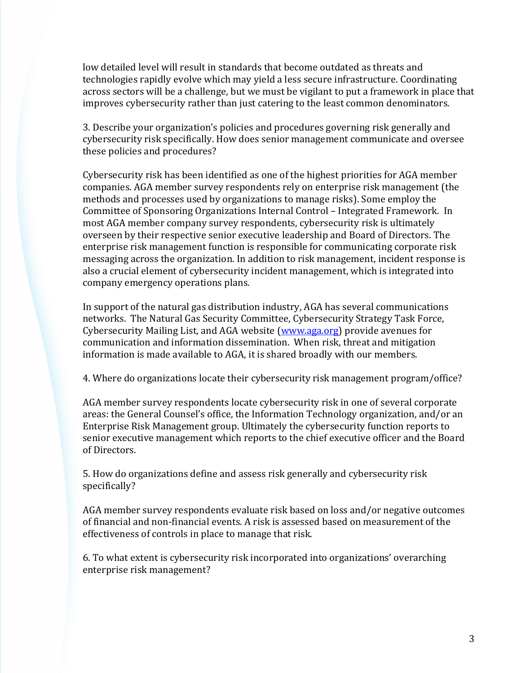low detailed level will result in standards that become outdated as threats and technologies rapidly evolve which may yield a less secure infrastructure. Coordinating across sectors will be a challenge, but we must be vigilant to put a framework in place that improves cybersecurity rather than just catering to the least common denominators.

3. Describe your organization's policies and procedures governing risk generally and cybersecurity risk specifically. How does senior management communicate and oversee these policies and procedures?

Cybersecurity risk has been identified as one of the highest priorities for AGA member companies. AGA member survey respondents rely on enterprise risk management (the methods and processes used by organizations to manage risks). Some employ the Committee of Sponsoring Organizations Internal Control – Integrated Framework. In most AGA member company survey respondents, cybersecurity risk is ultimately overseen by their respective senior executive leadership and Board of Directors. The enterprise risk management function is responsible for communicating corporate risk messaging across the organization. In addition to risk management, incident response is also a crucial element of cybersecurity incident management, which is integrated into company emergency operations plans.

In support of the natural gas distribution industry, AGA has several communications networks. The Natural Gas Security Committee, Cybersecurity Strategy Task Force, Cybersecurity Mailing List, and AGA website [\(www.aga.org\)](http://www.aga.org/) provide avenues for communication and information dissemination. When risk, threat and mitigation information is made available to AGA, it is shared broadly with our members.

4. Where do organizations locate their cybersecurity risk management program/office?

AGA member survey respondents locate cybersecurity risk in one of several corporate areas: the General Counsel's office, the Information Technology organization, and/or an Enterprise Risk Management group. Ultimately the cybersecurity function reports to senior executive management which reports to the chief executive officer and the Board of Directors.

5. How do organizations define and assess risk generally and cybersecurity risk specifically?

AGA member survey respondents evaluate risk based on loss and/or negative outcomes of financial and non-financial events. A risk is assessed based on measurement of the effectiveness of controls in place to manage that risk.

6. To what extent is cybersecurity risk incorporated into organizations' overarching enterprise risk management?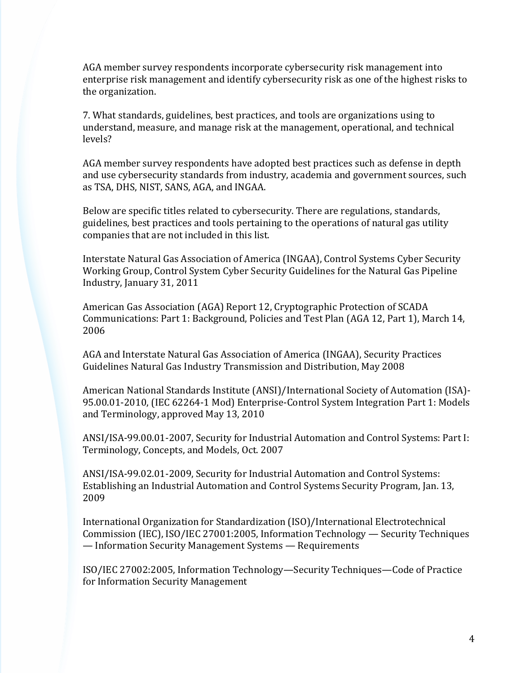AGA member survey respondents incorporate cybersecurity risk management into enterprise risk management and identify cybersecurity risk as one of the highest risks to the organization.

7. What standards, guidelines, best practices, and tools are organizations using to understand, measure, and manage risk at the management, operational, and technical levels?

AGA member survey respondents have adopted best practices such as defense in depth and use cybersecurity standards from industry, academia and government sources, such as TSA, DHS, NIST, SANS, AGA, and INGAA.

Below are specific titles related to cybersecurity. There are regulations, standards, guidelines, best practices and tools pertaining to the operations of natural gas utility companies that are not included in this list.

Interstate Natural Gas Association of America (INGAA), Control Systems Cyber Security Working Group, Control System Cyber Security Guidelines for the Natural Gas Pipeline Industry, January 31, 2011

American Gas Association (AGA) Report 12, Cryptographic Protection of SCADA Communications: Part 1: Background, Policies and Test Plan (AGA 12, Part 1), March 14, 2006

AGA and Interstate Natural Gas Association of America (INGAA), Security Practices Guidelines Natural Gas Industry Transmission and Distribution, May 2008

American National Standards Institute (ANSI)/International Society of Automation (ISA)- 95.00.01-2010, (IEC 62264-1 Mod) Enterprise-Control System Integration Part 1: Models and Terminology, approved May 13, 2010

ANSI/ISA-99.00.01-2007, Security for Industrial Automation and Control Systems: Part I: Terminology, Concepts, and Models, Oct. 2007

ANSI/ISA-99.02.01-2009, Security for Industrial Automation and Control Systems: Establishing an Industrial Automation and Control Systems Security Program, Jan. 13, 2009

International Organization for Standardization (ISO)/International Electrotechnical Commission (IEC), ISO/IEC 27001:2005, Information Technology — Security Techniques — Information Security Management Systems — Requirements

ISO/IEC 27002:2005, Information Technology—Security Techniques—Code of Practice for Information Security Management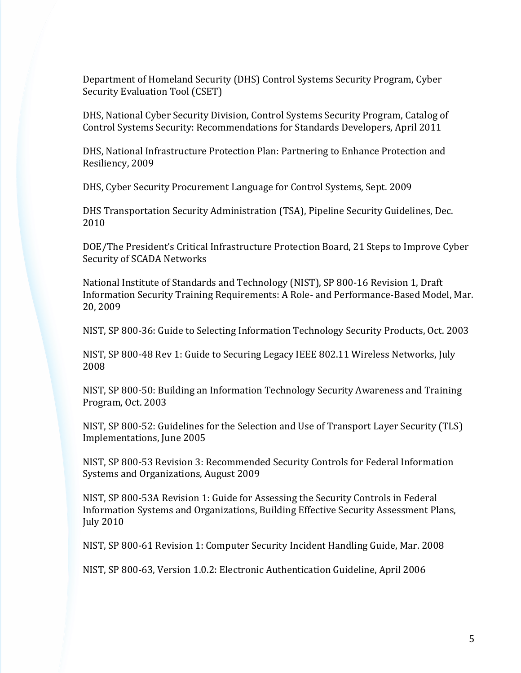Department of Homeland Security (DHS) Control Systems Security Program, Cyber Security Evaluation Tool (CSET)

DHS, National Cyber Security Division, Control Systems Security Program, Catalog of Control Systems Security: Recommendations for Standards Developers, April 2011

DHS, National Infrastructure Protection Plan: Partnering to Enhance Protection and Resiliency, 2009

DHS, Cyber Security Procurement Language for Control Systems, Sept. 2009

DHS Transportation Security Administration (TSA), Pipeline Security Guidelines, Dec. 2010

DOE/The President's Critical Infrastructure Protection Board, 21 Steps to Improve Cyber Security of SCADA Networks

National Institute of Standards and Technology (NIST), SP 800-16 Revision 1, Draft Information Security Training Requirements: A Role- and Performance-Based Model, Mar. 20, 2009

NIST, SP 800-36: Guide to Selecting Information Technology Security Products, Oct. 2003

NIST, SP 800-48 Rev 1: Guide to Securing Legacy IEEE 802.11 Wireless Networks, July 2008

NIST, SP 800-50: Building an Information Technology Security Awareness and Training Program, Oct. 2003

NIST, SP 800-52: Guidelines for the Selection and Use of Transport Layer Security (TLS) Implementations, June 2005

NIST, SP 800-53 Revision 3: Recommended Security Controls for Federal Information Systems and Organizations, August 2009

NIST, SP 800-53A Revision 1: Guide for Assessing the Security Controls in Federal Information Systems and Organizations, Building Effective Security Assessment Plans, July 2010

NIST, SP 800-61 Revision 1: Computer Security Incident Handling Guide, Mar. 2008

NIST, SP 800-63, Version 1.0.2: Electronic Authentication Guideline, April 2006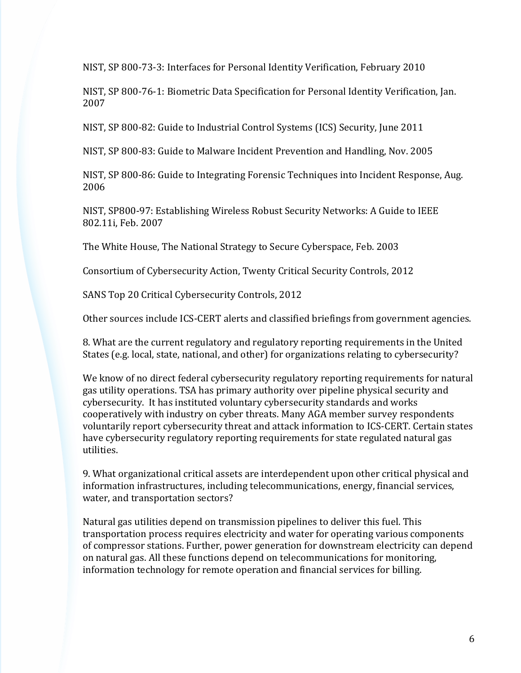NIST, SP 800-73-3: Interfaces for Personal Identity Verification, February 2010

NIST, SP 800-76-1: Biometric Data Specification for Personal Identity Verification, Jan. 2007

NIST, SP 800-82: Guide to Industrial Control Systems (ICS) Security, June 2011

NIST, SP 800-83: Guide to Malware Incident Prevention and Handling, Nov. 2005

NIST, SP 800-86: Guide to Integrating Forensic Techniques into Incident Response, Aug. 2006

NIST, SP800-97: Establishing Wireless Robust Security Networks: A Guide to IEEE 802.11i, Feb. 2007

The White House, The National Strategy to Secure Cyberspace, Feb. 2003

Consortium of Cybersecurity Action, Twenty Critical Security Controls, 2012

SANS Top 20 Critical Cybersecurity Controls, 2012

Other sources include ICS-CERT alerts and classified briefings from government agencies.

8. What are the current regulatory and regulatory reporting requirements in the United States (e.g. local, state, national, and other) for organizations relating to cybersecurity?

We know of no direct federal cybersecurity regulatory reporting requirements for natural gas utility operations. TSA has primary authority over pipeline physical security and cybersecurity. It has instituted voluntary cybersecurity standards and works cooperatively with industry on cyber threats. Many AGA member survey respondents voluntarily report cybersecurity threat and attack information to ICS-CERT. Certain states have cybersecurity regulatory reporting requirements for state regulated natural gas utilities.

9. What organizational critical assets are interdependent upon other critical physical and information infrastructures, including telecommunications, energy, financial services, water, and transportation sectors?

Natural gas utilities depend on transmission pipelines to deliver this fuel. This transportation process requires electricity and water for operating various components of compressor stations. Further, power generation for downstream electricity can depend on natural gas. All these functions depend on telecommunications for monitoring, information technology for remote operation and financial services for billing.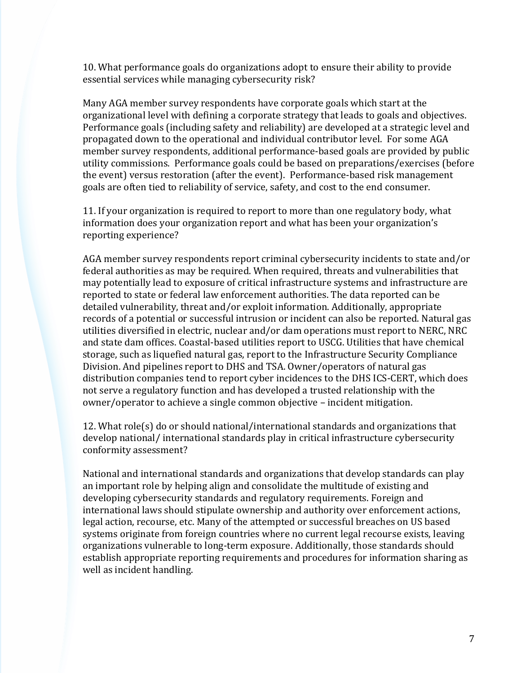10. What performance goals do organizations adopt to ensure their ability to provide essential services while managing cybersecurity risk?

Many AGA member survey respondents have corporate goals which start at the organizational level with defining a corporate strategy that leads to goals and objectives. Performance goals (including safety and reliability) are developed at a strategic level and propagated down to the operational and individual contributor level. For some AGA member survey respondents, additional performance-based goals are provided by public utility commissions. Performance goals could be based on preparations/exercises (before the event) versus restoration (after the event). Performance-based risk management goals are often tied to reliability of service, safety, and cost to the end consumer.

11. If your organization is required to report to more than one regulatory body, what information does your organization report and what has been your organization's reporting experience?

AGA member survey respondents report criminal cybersecurity incidents to state and/or federal authorities as may be required. When required, threats and vulnerabilities that may potentially lead to exposure of critical infrastructure systems and infrastructure are reported to state or federal law enforcement authorities. The data reported can be detailed vulnerability, threat and/or exploit information. Additionally, appropriate records of a potential or successful intrusion or incident can also be reported. Natural gas utilities diversified in electric, nuclear and/or dam operations must report to NERC, NRC and state dam offices. Coastal-based utilities report to USCG. Utilities that have chemical storage, such as liquefied natural gas, report to the Infrastructure Security Compliance Division. And pipelines report to DHS and TSA. Owner/operators of natural gas distribution companies tend to report cyber incidences to the DHS ICS-CERT, which does not serve a regulatory function and has developed a trusted relationship with the owner/operator to achieve a single common objective – incident mitigation.

12. What role(s) do or should national/international standards and organizations that develop national/ international standards play in critical infrastructure cybersecurity conformity assessment?

National and international standards and organizations that develop standards can play an important role by helping align and consolidate the multitude of existing and developing cybersecurity standards and regulatory requirements. Foreign and international laws should stipulate ownership and authority over enforcement actions, legal action, recourse, etc. Many of the attempted or successful breaches on US based systems originate from foreign countries where no current legal recourse exists, leaving organizations vulnerable to long-term exposure. Additionally, those standards should establish appropriate reporting requirements and procedures for information sharing as well as incident handling.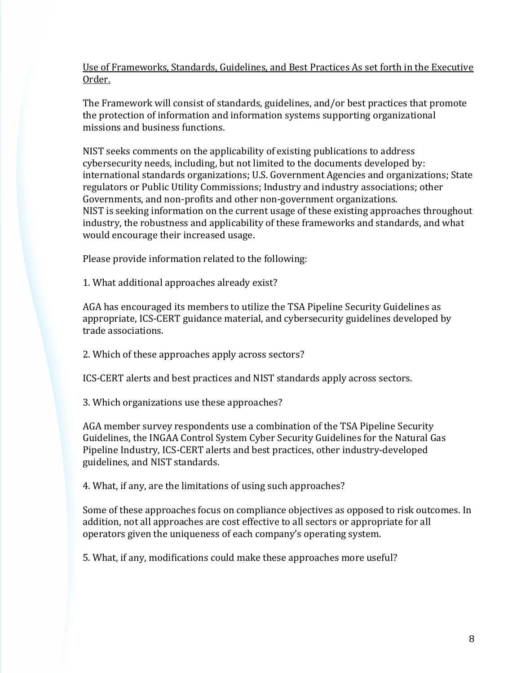Use of Frameworks, Standards, Guidelines, and Best Practices As set forth in the Executive Order.

The Framework will consist of standards, guidelines, and/or best practices that promote the protection of information and information systems supporting organizational missions and business functions.

NIST seeks comments on the applicability of existing publications to address cybersecurity needs, including, but not limited to the documents developed by: international standards organizations; U.S. Government Agencies and organizations; State regulators or Public Utility Commissions; Industry and industry associations; other Governments, and non-profits and other non-government organizations. NIST is seeking information on the current usage of these existing approaches throughout industry, the robustness and applicability of these frameworks and standards, and what would encourage their increased usage.

Please provide information related to the following:

1. What additional approaches already exist?

AGA has encouraged its members to utilize the TSA Pipeline Security Guidelines as appropriate, ICS-CERT guidance material, and cybersecurity guidelines developed by trade associations.

2. Which of these approaches apply across sectors?

ICS-CERT alerts and best practices and NIST standards apply across sectors.

3. Which organizations use these approaches?

AGA member survey respondents use a combination of the TSA Pipeline Security Guidelines, the INGAA Control System Cyber Security Guidelines for the Natural Gas Pipeline Industry, ICS-CERT alerts and best practices, other industry-developed guidelines, and NIST standards.

4. What, if any, are the limitations of using such approaches?

Some of these approaches focus on compliance objectives as opposed to risk outcomes. In addition, not all approaches are cost effective to all sectors or appropriate for all operators given the uniqueness of each company's operating system.

5. What, if any, modifications could make these approaches more useful?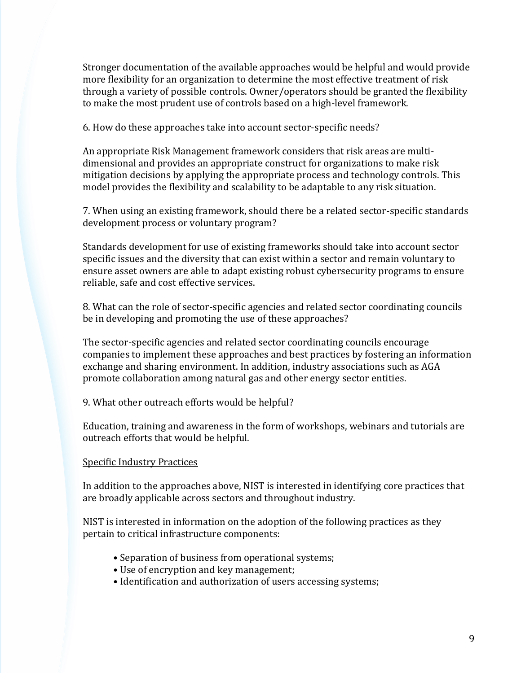Stronger documentation of the available approaches would be helpful and would provide more flexibility for an organization to determine the most effective treatment of risk through a variety of possible controls. Owner/operators should be granted the flexibility to make the most prudent use of controls based on a high-level framework.

6. How do these approaches take into account sector-specific needs?

An appropriate Risk Management framework considers that risk areas are multidimensional and provides an appropriate construct for organizations to make risk mitigation decisions by applying the appropriate process and technology controls. This model provides the flexibility and scalability to be adaptable to any risk situation.

7. When using an existing framework, should there be a related sector-specific standards development process or voluntary program?

Standards development for use of existing frameworks should take into account sector specific issues and the diversity that can exist within a sector and remain voluntary to ensure asset owners are able to adapt existing robust cybersecurity programs to ensure reliable, safe and cost effective services.

8. What can the role of sector-specific agencies and related sector coordinating councils be in developing and promoting the use of these approaches?

The sector-specific agencies and related sector coordinating councils encourage companies to implement these approaches and best practices by fostering an information exchange and sharing environment. In addition, industry associations such as AGA promote collaboration among natural gas and other energy sector entities.

9. What other outreach efforts would be helpful?

Education, training and awareness in the form of workshops, webinars and tutorials are outreach efforts that would be helpful.

## Specific Industry Practices

In addition to the approaches above, NIST is interested in identifying core practices that are broadly applicable across sectors and throughout industry.

NIST is interested in information on the adoption of the following practices as they pertain to critical infrastructure components:

- Separation of business from operational systems;
- Use of encryption and key management;
- Identification and authorization of users accessing systems;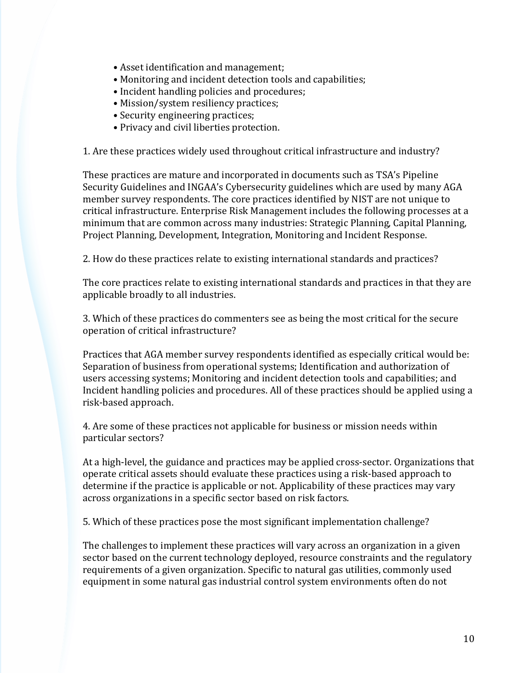- Asset identification and management;
- Monitoring and incident detection tools and capabilities;
- Incident handling policies and procedures;
- Mission/system resiliency practices;
- Security engineering practices;
- Privacy and civil liberties protection.

1. Are these practices widely used throughout critical infrastructure and industry?

These practices are mature and incorporated in documents such as TSA's Pipeline Security Guidelines and INGAA's Cybersecurity guidelines which are used by many AGA member survey respondents. The core practices identified by NIST are not unique to critical infrastructure. Enterprise Risk Management includes the following processes at a minimum that are common across many industries: Strategic Planning, Capital Planning, Project Planning, Development, Integration, Monitoring and Incident Response.

2. How do these practices relate to existing international standards and practices?

The core practices relate to existing international standards and practices in that they are applicable broadly to all industries.

3. Which of these practices do commenters see as being the most critical for the secure operation of critical infrastructure?

Practices that AGA member survey respondents identified as especially critical would be: Separation of business from operational systems; Identification and authorization of users accessing systems; Monitoring and incident detection tools and capabilities; and Incident handling policies and procedures. All of these practices should be applied using a risk-based approach.

4. Are some of these practices not applicable for business or mission needs within particular sectors?

At a high-level, the guidance and practices may be applied cross-sector. Organizations that operate critical assets should evaluate these practices using a risk-based approach to determine if the practice is applicable or not. Applicability of these practices may vary across organizations in a specific sector based on risk factors.

5. Which of these practices pose the most significant implementation challenge?

The challenges to implement these practices will vary across an organization in a given sector based on the current technology deployed, resource constraints and the regulatory requirements of a given organization. Specific to natural gas utilities, commonly used equipment in some natural gas industrial control system environments often do not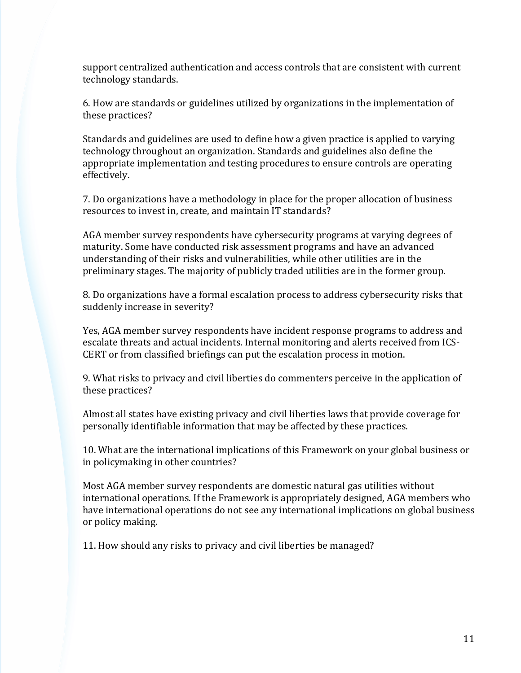support centralized authentication and access controls that are consistent with current technology standards.

6. How are standards or guidelines utilized by organizations in the implementation of these practices?

Standards and guidelines are used to define how a given practice is applied to varying technology throughout an organization. Standards and guidelines also define the appropriate implementation and testing procedures to ensure controls are operating effectively.

7. Do organizations have a methodology in place for the proper allocation of business resources to invest in, create, and maintain IT standards?

AGA member survey respondents have cybersecurity programs at varying degrees of maturity. Some have conducted risk assessment programs and have an advanced understanding of their risks and vulnerabilities, while other utilities are in the preliminary stages. The majority of publicly traded utilities are in the former group.

8. Do organizations have a formal escalation process to address cybersecurity risks that suddenly increase in severity?

Yes, AGA member survey respondents have incident response programs to address and escalate threats and actual incidents. Internal monitoring and alerts received from ICS-CERT or from classified briefings can put the escalation process in motion.

9. What risks to privacy and civil liberties do commenters perceive in the application of these practices?

Almost all states have existing privacy and civil liberties laws that provide coverage for personally identifiable information that may be affected by these practices.

10. What are the international implications of this Framework on your global business or in policymaking in other countries?

Most AGA member survey respondents are domestic natural gas utilities without international operations. If the Framework is appropriately designed, AGA members who have international operations do not see any international implications on global business or policy making.

11. How should any risks to privacy and civil liberties be managed?